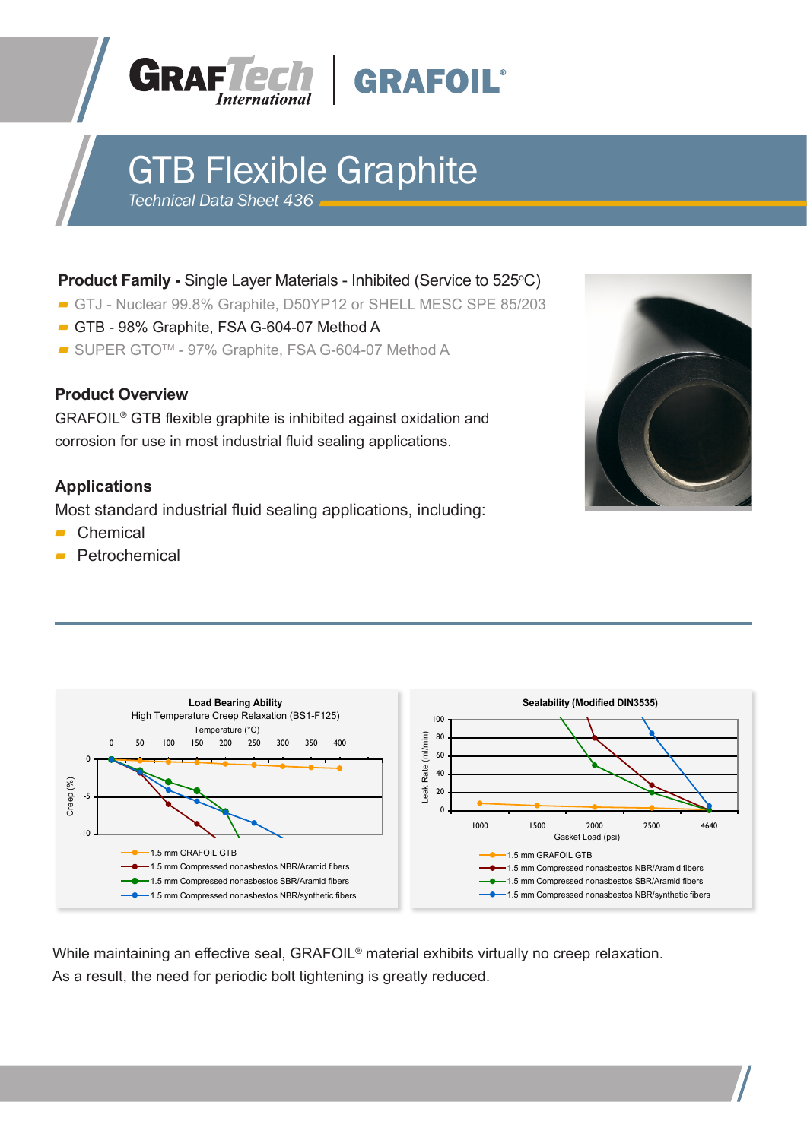



# GTB Flexible Graphite

*Technical Data Sheet 436*

## **Product Family -** Single Layer Materials - Inhibited (Service to 525°C)

- GTJ Nuclear 99.8% Graphite, D50YP12 or SHELL MESC SPE 85/203
- GTB 98% Graphite, FSA G-604-07 Method A
- SUPER GTO<sup>™</sup> 97% Graphite, FSA G-604-07 Method A

#### **Product Overview**

GRAFOIL® GTB flexible graphite is inhibited against oxidation and corrosion for use in most industrial fluid sealing applications.

# **Applications**

Most standard industrial fluid sealing applications, including:

- Chemical
- Petrochemical





While maintaining an effective seal, GRAFOIL<sup>®</sup> material exhibits virtually no creep relaxation. As a result, the need for periodic bolt tightening is greatly reduced.